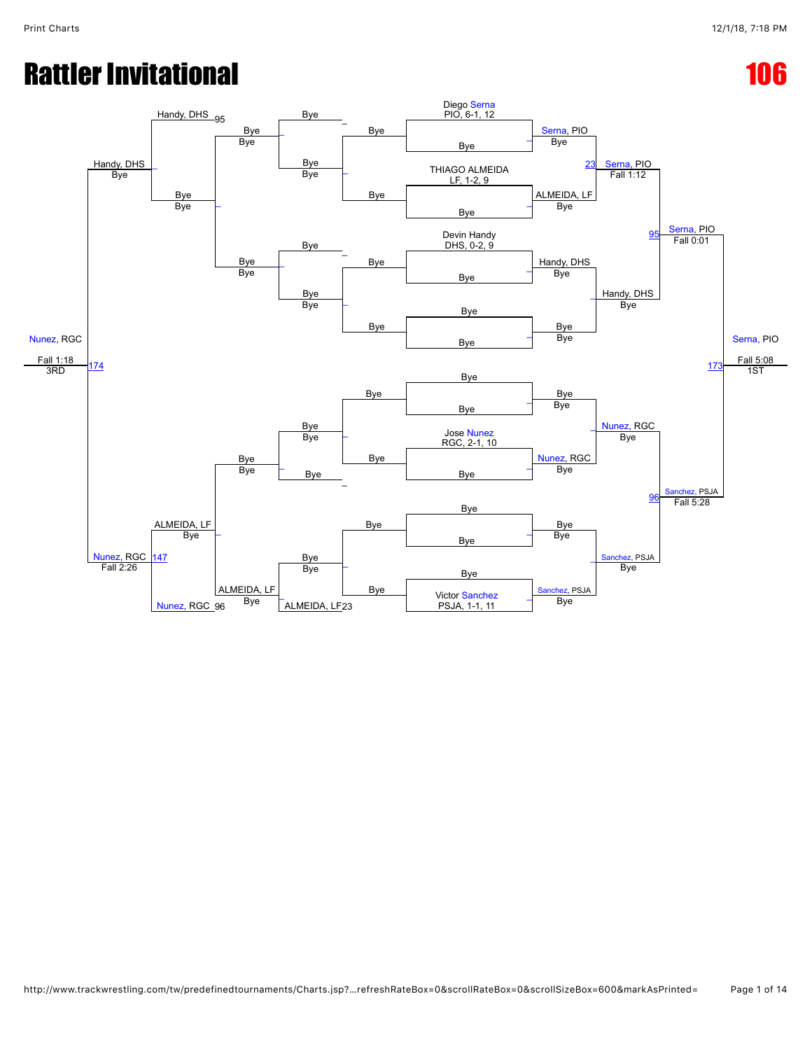# Rattler Invitational and the contraction of the contraction of the contraction of the contraction of the contraction of the contraction of the contraction of the contraction of the contraction of the contraction of the con

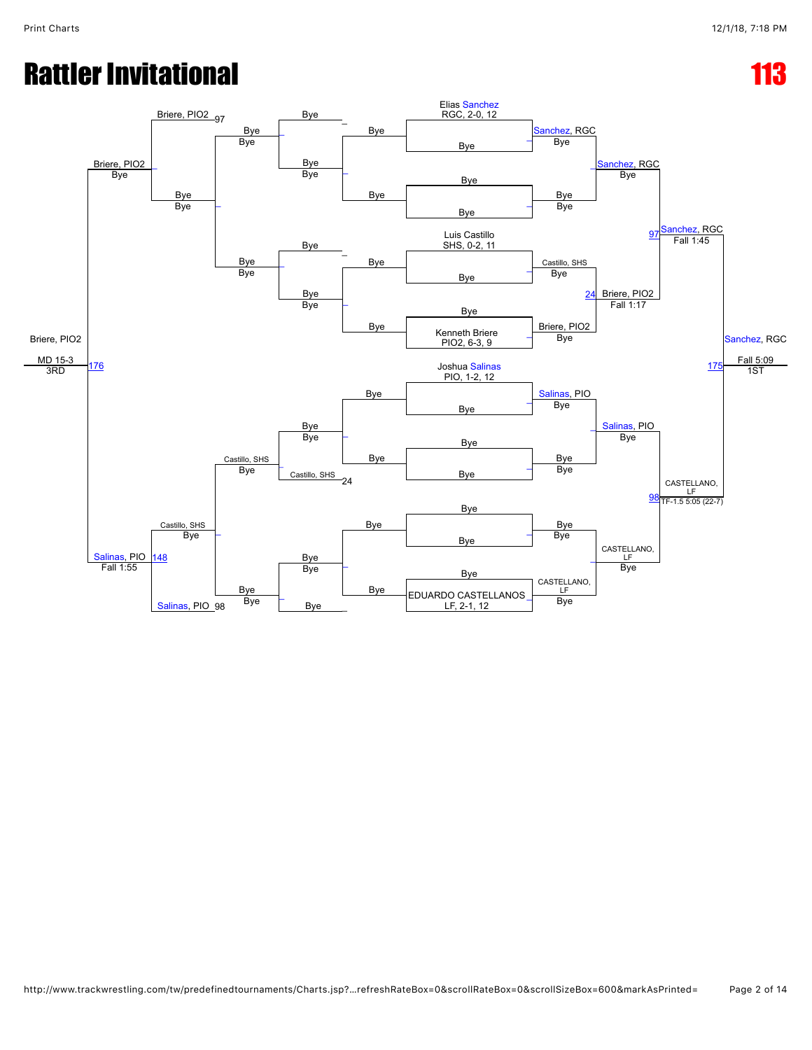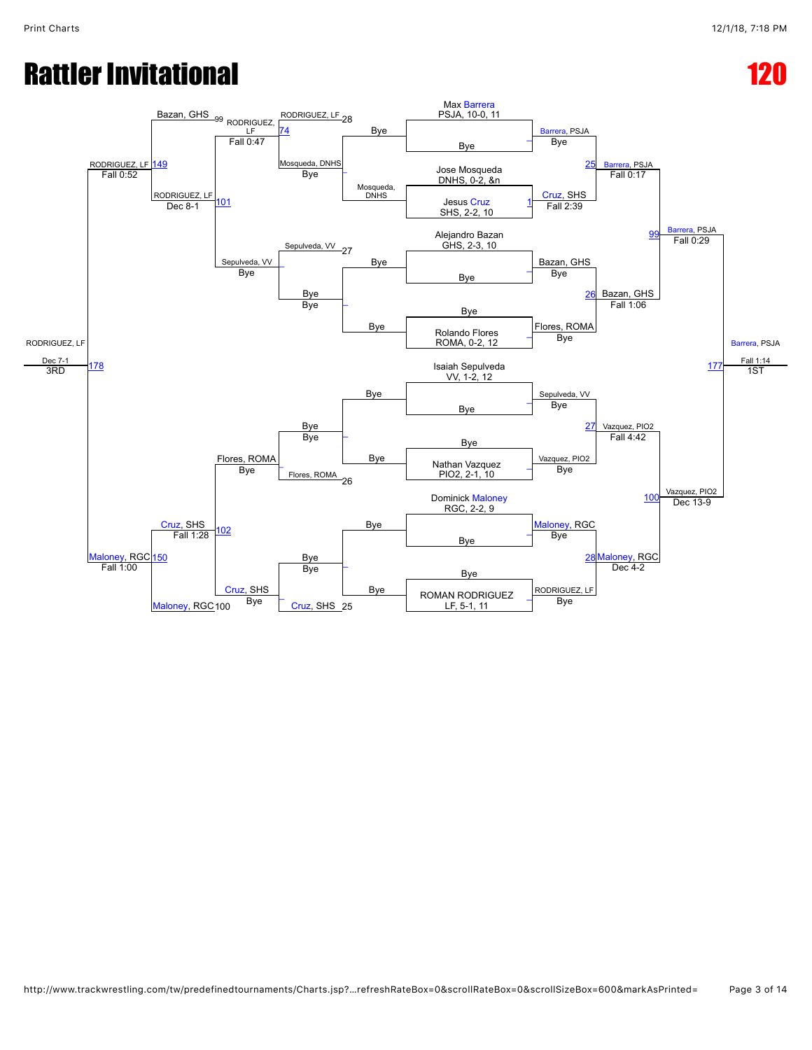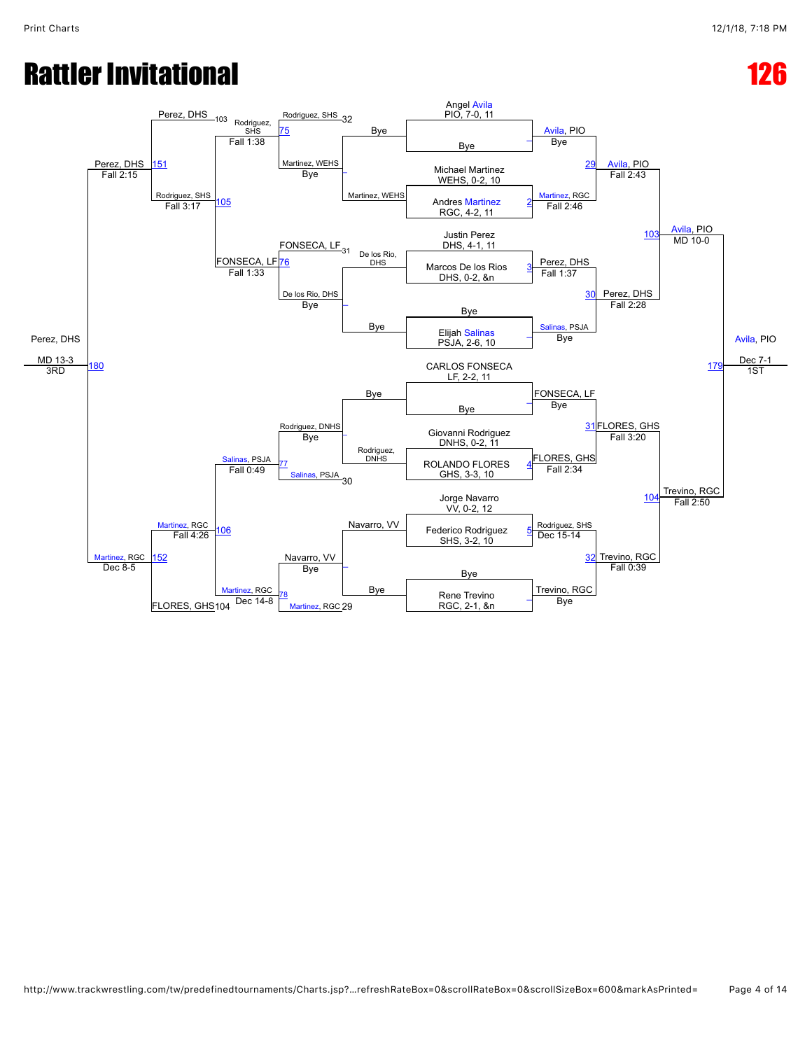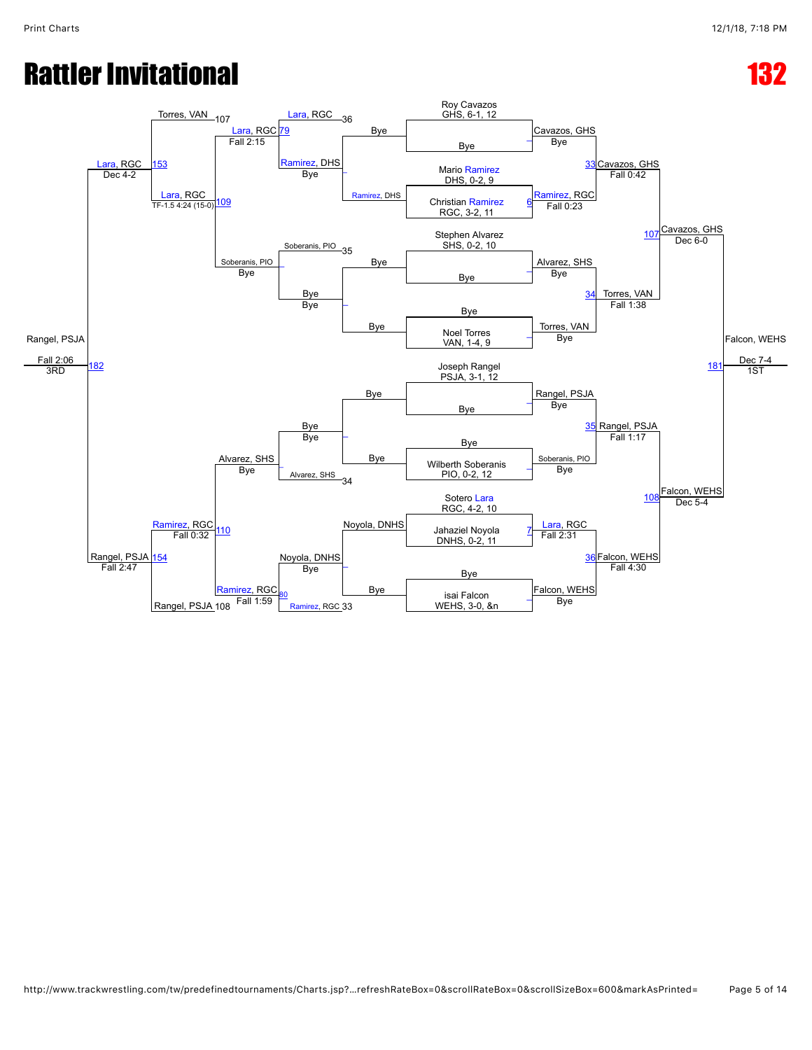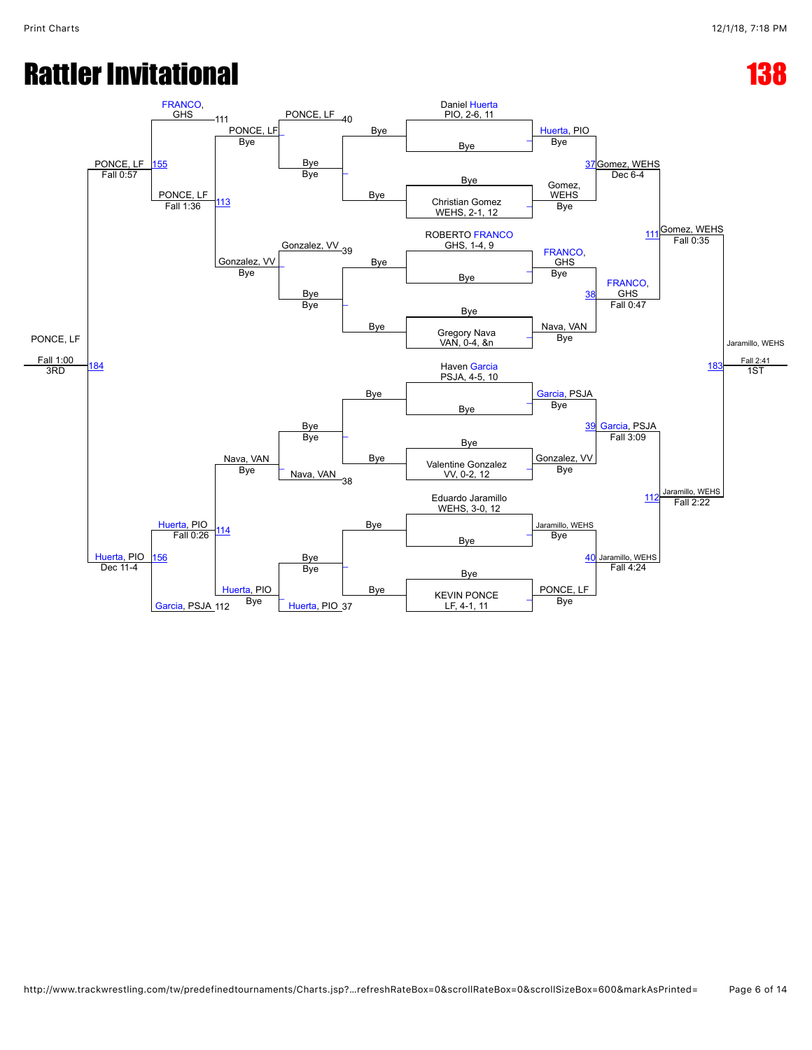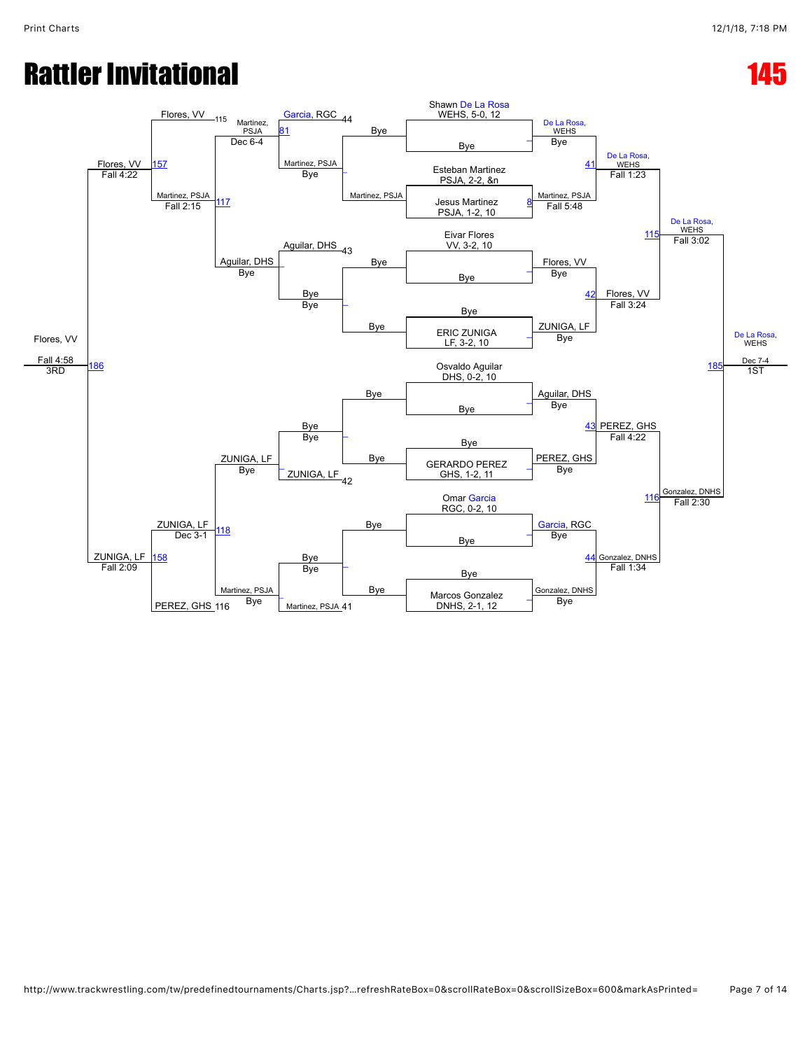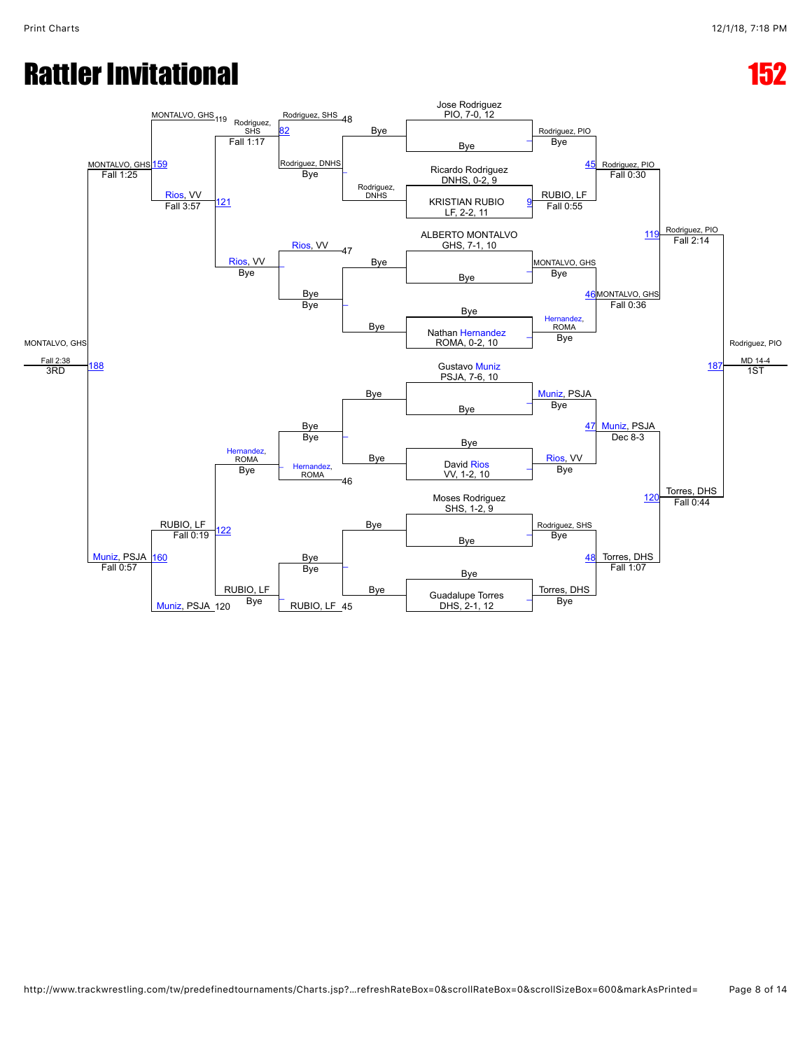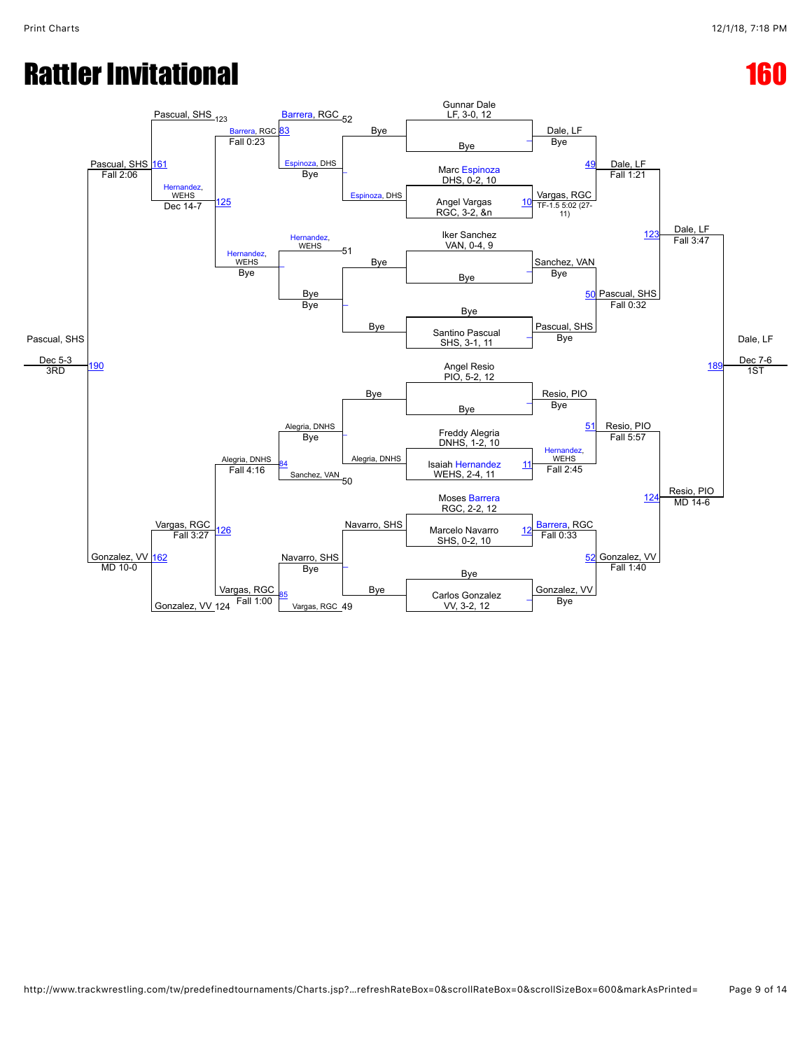### Rattler Invitational and the contract of the contract of the contract of the contract of the contract of the contract of the contract of the contract of the contract of the contract of the contract of the contract of the c

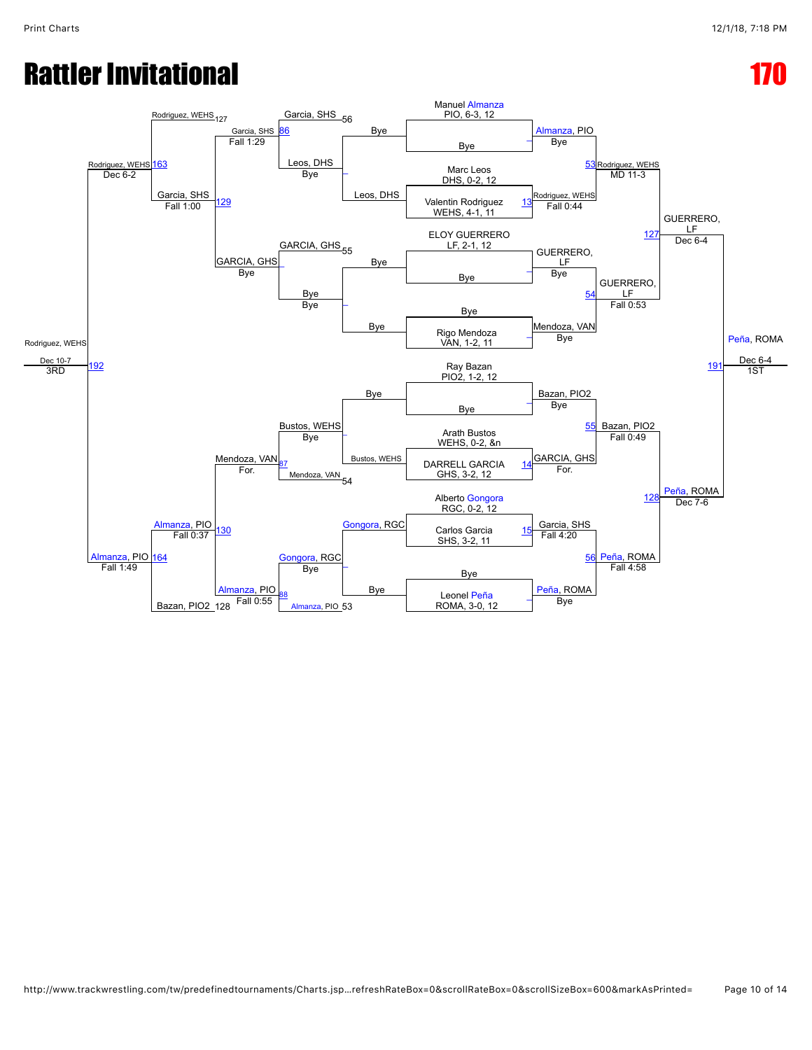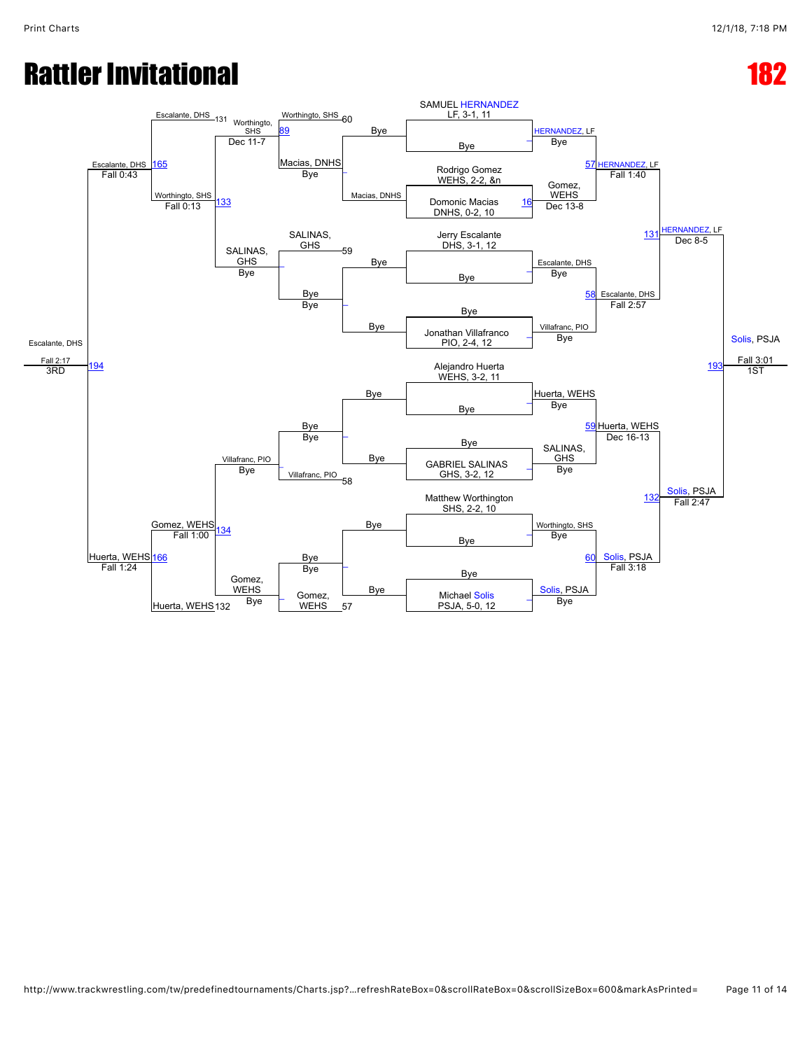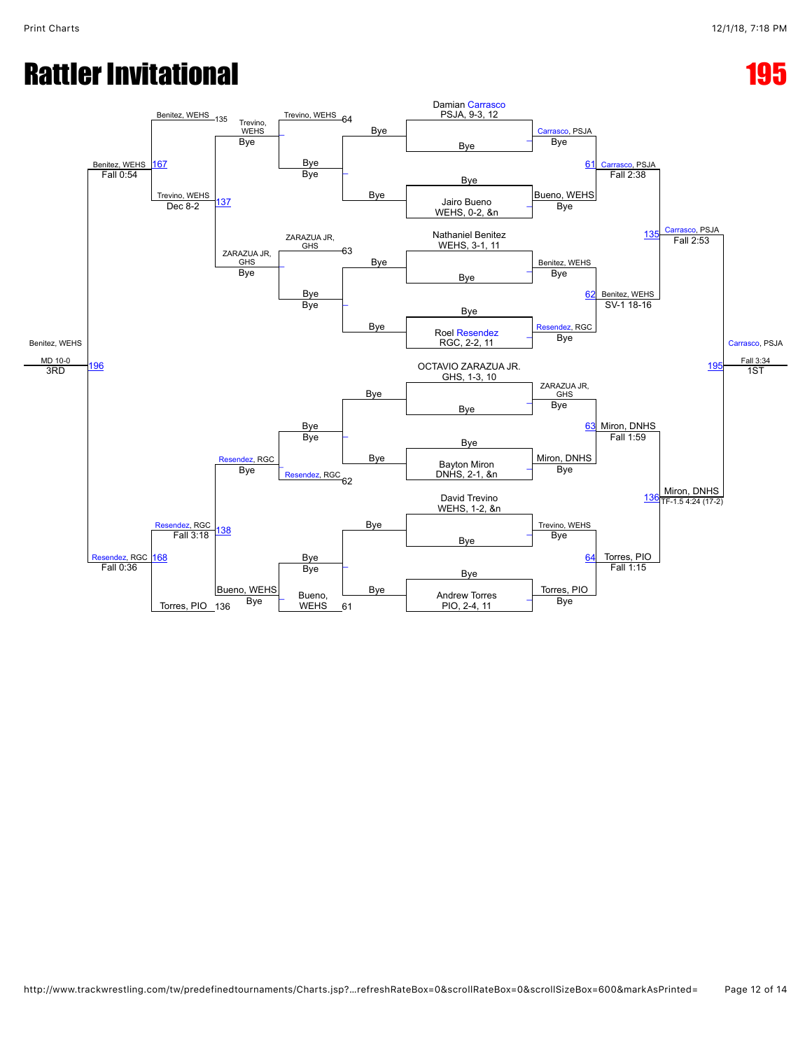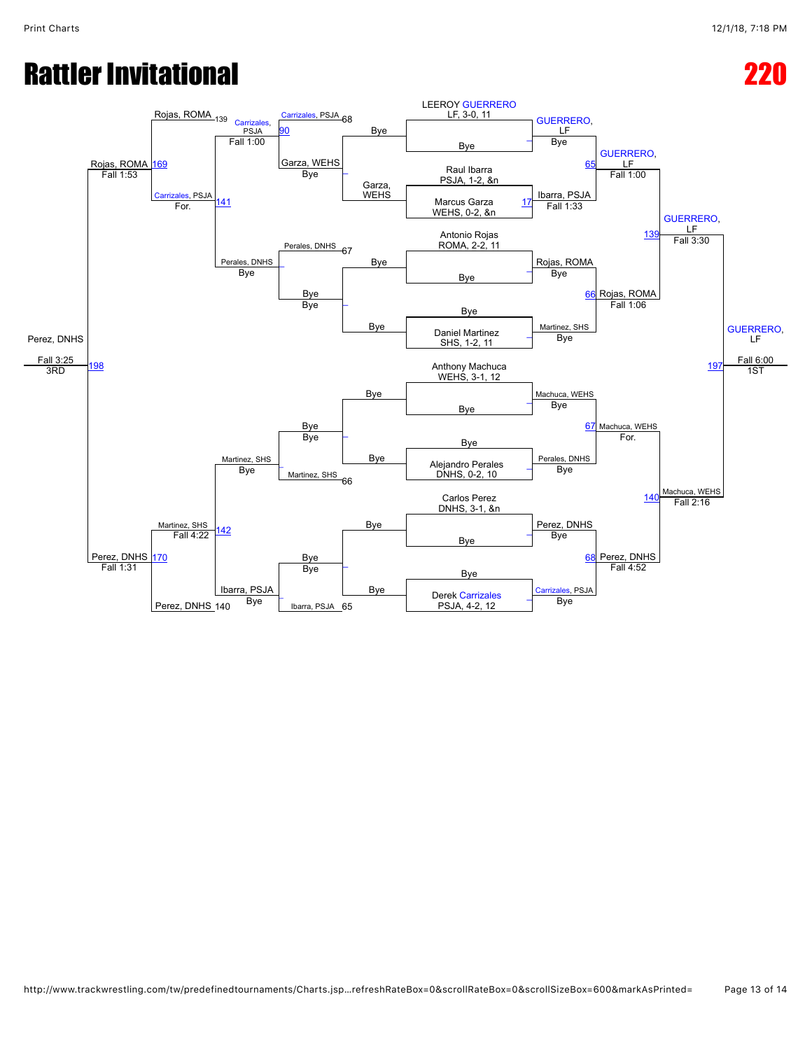